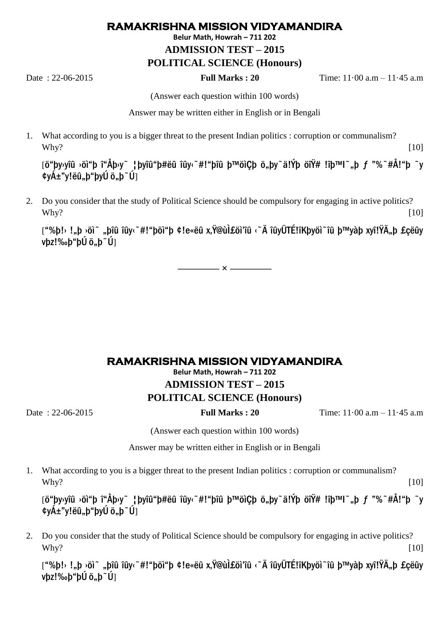## **RAMAKRISHNA MISSION VIDYAMANDIRA**

**Belur Math, Howrah – 711 202**

**ADMISSION TEST – 2015**

## **POLITICAL SCIENCE (Honours)**

Date : 22-06-2015 **Full Marks : 20** Time: 11·00 a.m – 11·45 a.m

(Answer each question within 100 words)

Answer may be written either in English or in Bengali

1. What according to you is a bigger threat to the present Indian politics : corruption or communalism? Why? [10]

[ö"þy›yîû ›öì"þ î"Åþ›y~ ¦þyîû"þ#ëû îûy‹~#!"bîû b™öìCb ö"by~ä!Ýb öîŸ# !îb™l~..b f "%~#Å!"b ~v ¢vÁ±"v!ëû"b"bvÚ ö"b~Ú]

2. Do you consider that the study of Political Science should be compulsory for engaging in active politics?  $W$ hy? [10]

["%þ!› !"þ ›öì~ "þîû îûy‹~#!"þöì"þ ¢!e«ëû x.Ÿ@ùÌ£öì'îû ‹~Ä îûyÜTÉ!îKþyöì~îû þ™yàþ xyî!ŸÄ"þ £çëûy  $v$ bz!‰þ"þÚ ö"þ~Ú]

**———— × ————**

## **RAMAKRISHNA MISSION VIDYAMANDIRA**

**Belur Math, Howrah – 711 202 ADMISSION TEST – 2015 POLITICAL SCIENCE (Honours)**

Date : 22-06-2015 **Full Marks : 20** Time: 11·00 a.m – 11·45 a.m

(Answer each question within 100 words)

Answer may be written either in English or in Bengali

1. What according to you is a bigger threat to the present Indian politics : corruption or communalism? Why? [10]

[ö"þy›yîû ›öì"þ î"Åþ›y~ ¦þyîû"þ#ëû îûy‹~#!"þîû þ™öìÇþ ö"þy~ä!Ýþ öîŸ# !îþ™I~"þ f "%~#Å!"þ ~y ¢yÁ±"y!ëû"þ"þyÚ ö"þ~Ú]

2. Do you consider that the study of Political Science should be compulsory for engaging in active politics?  $W$ hy? [10]

["%þ!› !"þ ›öì~ "þîû îûy‹~#!"þöì"þ ¢!e«ëû x,Ÿ@ùÌ£öì'îû ‹~Ä îûyÜTÉ!îKþyöì~îû þ™yàþ xyî!ŸÄ"þ £çëûy  $v$ þz!‰þ"þÚ ö"þ~Ú]